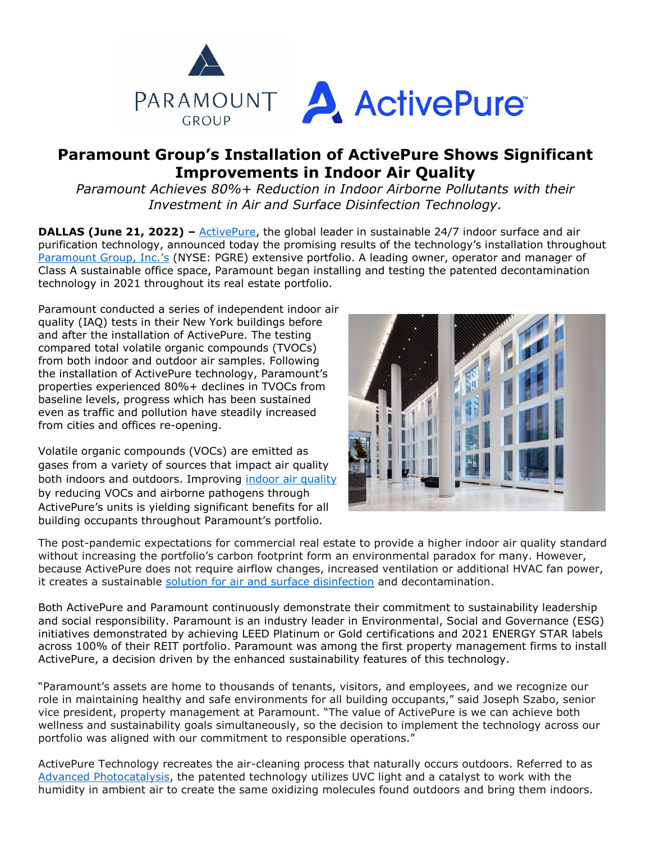

## **Paramount Group's Installation of ActivePure Shows Significant Improvements in Indoor Air Quality**

*Paramount Achieves 80%+ Reduction in Indoor Airborne Pollutants with their Investment in Air and Surface Disinfection Technology.*

**DALLAS (June 21, 2022)** – [ActivePure,](https://www.activepure.com/about/?utm_source=activepure+technologies+press+release&utm_medium=accesswire.com+&utm_campaign=june+2022+paramount+group+installation+of+activepure&utm_content=activepure+hyperlink+1) the global leader in sustainable 24/7 indoor surface and air purification technology, announced today the promising results of the technology's installation throughout [Paramount Group, Inc.'s](http://www.pgre.com/) (NYSE: PGRE) extensive portfolio. A leading owner, operator and manager of Class A sustainable office space, Paramount began installing and testing the patented decontamination technology in 2021 throughout its real estate portfolio.

Paramount conducted a series of independent indoor air quality (IAQ) tests in their New York buildings before and after the installation of ActivePure. The testing compared total volatile organic compounds (TVOCs) from both indoor and outdoor air samples. Following the installation of ActivePure technology, Paramount's properties experienced 80%+ declines in TVOCs from baseline levels, progress which has been sustained even as traffic and pollution have steadily increased from cities and offices re-opening.

Volatile organic compounds (VOCs) are emitted as gases from a variety of sources that impact air quality both indoors and outdoors. Improving [indoor air quality](https://blog.activepure.com/air-purification-vocs-part-1/?utm_source=activepure+technologies+press+release&utm_medium=accesswire.com+&utm_campaign=june+2022+paramount+group+installation+of+activepure&utm_content=indoor+air+quality+hyperlink+2) by reducing VOCs and airborne pathogens through ActivePure's units is yielding significant benefits for all building occupants throughout Paramount's portfolio.



The post-pandemic expectations for commercial real estate to provide a higher indoor air quality standard without increasing the portfolio's carbon footprint form an environmental paradox for many. However, because ActivePure does not require airflow changes, increased ventilation or additional HVAC fan power, it creates a sustainable [solution for air and surface disinfection](https://www.activepure.com/scientific-proof/?utm_source=activepure+technologies+press+release&utm_medium=accesswire.com+&utm_campaign=june+2022+paramount+group+installation+of+activepure&utm_content=solution+for+air+and+surface+disinfection+hyperlink+3) and decontamination.

Both ActivePure and Paramount continuously demonstrate their commitment to sustainability leadership and social responsibility. Paramount is an industry leader in Environmental, Social and Governance (ESG) initiatives demonstrated by achieving LEED Platinum or Gold certifications and 2021 ENERGY STAR labels across 100% of their REIT portfolio. Paramount was among the first property management firms to install ActivePure, a decision driven by the enhanced sustainability features of this technology.

"Paramount's assets are home to thousands of tenants, visitors, and employees, and we recognize our role in maintaining healthy and safe environments for all building occupants," said Joseph Szabo, senior vice president, property management at Paramount. "The value of ActivePure is we can achieve both wellness and sustainability goals simultaneously, so the decision to implement the technology across our portfolio was aligned with our commitment to responsible operations."

ActivePure Technology recreates the air-cleaning process that naturally occurs outdoors. Referred to as [Advanced Photocatalysis,](https://blog.activepure.com/11-air-filtration-technologies/?utm_source=activepure+technologies+press+release&utm_medium=accesswire.com+&utm_campaign=june+2022+paramount+group+installation+of+activepure&utm_content=advanced+photocatalysis+hyperlink+4) the patented technology utilizes UVC light and a catalyst to work with the humidity in ambient air to create the same oxidizing molecules found outdoors and bring them indoors.